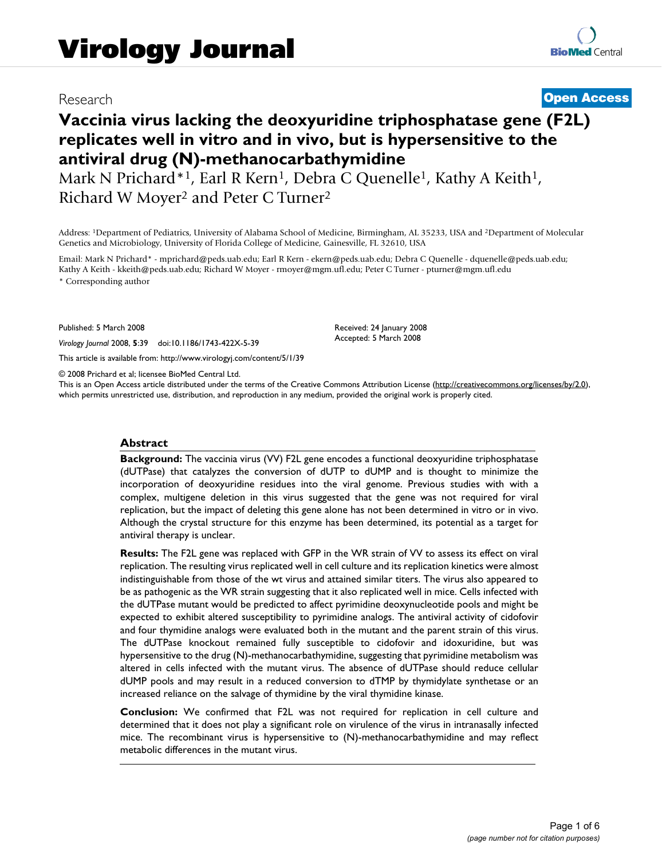# Research **Open Access**

# **Vaccinia virus lacking the deoxyuridine triphosphatase gene (F2L) replicates well in vitro and in vivo, but is hypersensitive to the antiviral drug (N)-methanocarbathymidine**

Mark N Prichard\*1, Earl R Kern<sup>1</sup>, Debra C Quenelle<sup>1</sup>, Kathy A Keith<sup>1</sup>, Richard W Moyer<sup>2</sup> and Peter C Turner<sup>2</sup>

Address: 1Department of Pediatrics, University of Alabama School of Medicine, Birmingham, AL 35233, USA and 2Department of Molecular Genetics and Microbiology, University of Florida College of Medicine, Gainesville, FL 32610, USA

Email: Mark N Prichard\* - mprichard@peds.uab.edu; Earl R Kern - ekern@peds.uab.edu; Debra C Quenelle - dquenelle@peds.uab.edu; Kathy A Keith - kkeith@peds.uab.edu; Richard W Moyer - rmoyer@mgm.ufl.edu; Peter C Turner - pturner@mgm.ufl.edu

\* Corresponding author

Published: 5 March 2008

*Virology Journal* 2008, **5**:39 doi:10.1186/1743-422X-5-39

This article is available from: http://www.virologyj.com/content/5/1/39

© 2008 Prichard et al; licensee BioMed Central Ltd.

This is an Open Access article distributed under the terms of the Creative Commons Attribution License (http://creativecommons.org/licenses/by/2.0), which permits unrestricted use, distribution, and reproduction in any medium, provided the original work is properly cited.

Received: 24 January 2008 Accepted: 5 March 2008

#### **Abstract**

**Background:** The vaccinia virus (VV) F2L gene encodes a functional deoxyuridine triphosphatase (dUTPase) that catalyzes the conversion of dUTP to dUMP and is thought to minimize the incorporation of deoxyuridine residues into the viral genome. Previous studies with with a complex, multigene deletion in this virus suggested that the gene was not required for viral replication, but the impact of deleting this gene alone has not been determined in vitro or in vivo. Although the crystal structure for this enzyme has been determined, its potential as a target for antiviral therapy is unclear.

**Results:** The F2L gene was replaced with GFP in the WR strain of VV to assess its effect on viral replication. The resulting virus replicated well in cell culture and its replication kinetics were almost indistinguishable from those of the wt virus and attained similar titers. The virus also appeared to be as pathogenic as the WR strain suggesting that it also replicated well in mice. Cells infected with the dUTPase mutant would be predicted to affect pyrimidine deoxynucleotide pools and might be expected to exhibit altered susceptibility to pyrimidine analogs. The antiviral activity of cidofovir and four thymidine analogs were evaluated both in the mutant and the parent strain of this virus. The dUTPase knockout remained fully susceptible to cidofovir and idoxuridine, but was hypersensitive to the drug (N)-methanocarbathymidine, suggesting that pyrimidine metabolism was altered in cells infected with the mutant virus. The absence of dUTPase should reduce cellular dUMP pools and may result in a reduced conversion to dTMP by thymidylate synthetase or an increased reliance on the salvage of thymidine by the viral thymidine kinase.

**Conclusion:** We confirmed that F2L was not required for replication in cell culture and determined that it does not play a significant role on virulence of the virus in intranasally infected mice. The recombinant virus is hypersensitive to (N)-methanocarbathymidine and may reflect metabolic differences in the mutant virus.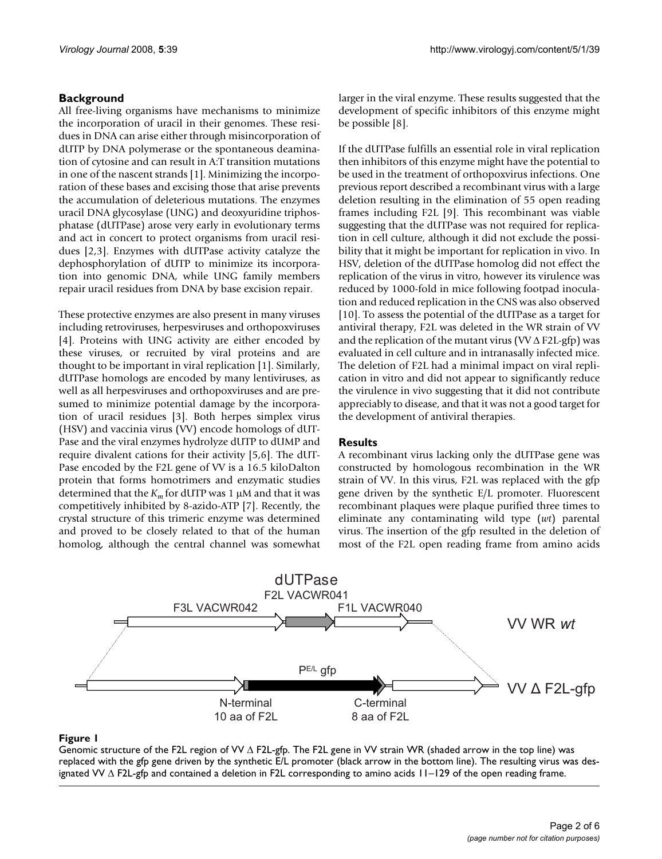# **Background**

All free-living organisms have mechanisms to minimize the incorporation of uracil in their genomes. These residues in DNA can arise either through misincorporation of dUTP by DNA polymerase or the spontaneous deamination of cytosine and can result in A:T transition mutations in one of the nascent strands [1]. Minimizing the incorporation of these bases and excising those that arise prevents the accumulation of deleterious mutations. The enzymes uracil DNA glycosylase (UNG) and deoxyuridine triphosphatase (dUTPase) arose very early in evolutionary terms and act in concert to protect organisms from uracil residues [2,3]. Enzymes with dUTPase activity catalyze the dephosphorylation of dUTP to minimize its incorporation into genomic DNA, while UNG family members repair uracil residues from DNA by base excision repair.

These protective enzymes are also present in many viruses including retroviruses, herpesviruses and orthopoxviruses [4]. Proteins with UNG activity are either encoded by these viruses, or recruited by viral proteins and are thought to be important in viral replication [1]. Similarly, dUTPase homologs are encoded by many lentiviruses, as well as all herpesviruses and orthopoxviruses and are presumed to minimize potential damage by the incorporation of uracil residues [3]. Both herpes simplex virus (HSV) and vaccinia virus (VV) encode homologs of dUT-Pase and the viral enzymes hydrolyze dUTP to dUMP and require divalent cations for their activity [5,6]. The dUT-Pase encoded by the F2L gene of VV is a 16.5 kiloDalton protein that forms homotrimers and enzymatic studies determined that the  $K_m$  for dUTP was 1  $\mu$ M and that it was competitively inhibited by 8-azido-ATP [7]. Recently, the crystal structure of this trimeric enzyme was determined and proved to be closely related to that of the human homolog, although the central channel was somewhat larger in the viral enzyme. These results suggested that the development of specific inhibitors of this enzyme might be possible [8].

If the dUTPase fulfills an essential role in viral replication then inhibitors of this enzyme might have the potential to be used in the treatment of orthopoxvirus infections. One previous report described a recombinant virus with a large deletion resulting in the elimination of 55 open reading frames including F2L [9]. This recombinant was viable suggesting that the dUTPase was not required for replication in cell culture, although it did not exclude the possibility that it might be important for replication in vivo. In HSV, deletion of the dUTPase homolog did not effect the replication of the virus in vitro, however its virulence was reduced by 1000-fold in mice following footpad inoculation and reduced replication in the CNS was also observed [10]. To assess the potential of the dUTPase as a target for antiviral therapy, F2L was deleted in the WR strain of VV and the replication of the mutant virus (VV  $\Delta$  F2L-gfp) was evaluated in cell culture and in intranasally infected mice. The deletion of F2L had a minimal impact on viral replication in vitro and did not appear to significantly reduce the virulence in vivo suggesting that it did not contribute appreciably to disease, and that it was not a good target for the development of antiviral therapies.

# **Results**

A recombinant virus lacking only the dUTPase gene was constructed by homologous recombination in the WR strain of VV. In this virus, F2L was replaced with the gfp gene driven by the synthetic E/L promoter. Fluorescent recombinant plaques were plaque purified three times to eliminate any contaminating wild type (*wt*) parental virus. The insertion of the gfp resulted in the deletion of most of the F2L open reading frame from amino acids



# Figure 1

Genomic structure of the F2L region of VV  $\Delta$  F2L-gfp. The F2L gene in VV strain WR (shaded arrow in the top line) was replaced with the gfp gene driven by the synthetic E/L promoter (black arrow in the bottom line). The resulting virus was designated VV  $\Delta$  F2L-gfp and contained a deletion in F2L corresponding to amino acids 11–129 of the open reading frame.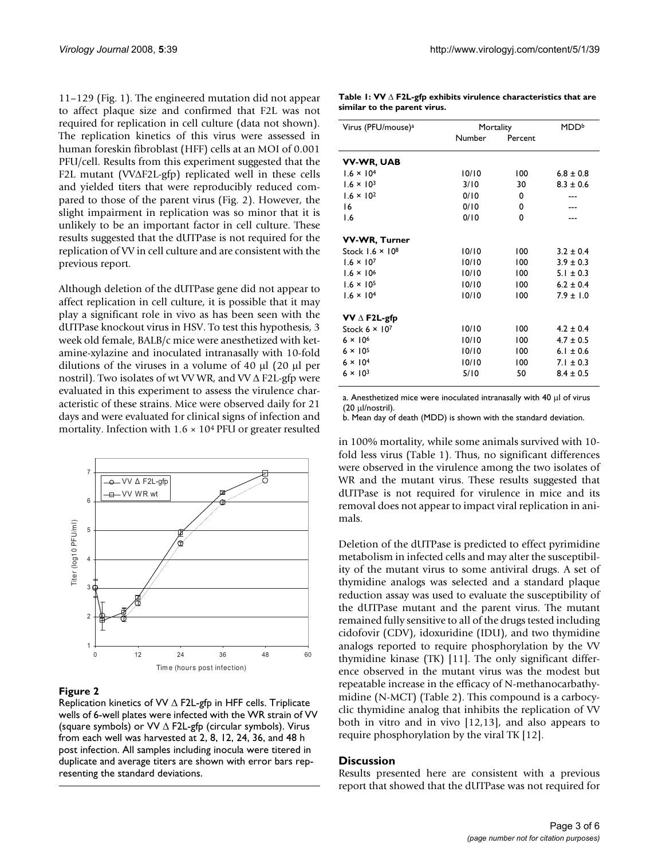11–129 (Fig. 1). The engineered mutation did not appear to affect plaque size and confirmed that F2L was not required for replication in cell culture (data not shown). The replication kinetics of this virus were assessed in human foreskin fibroblast (HFF) cells at an MOI of 0.001 PFU/cell. Results from this experiment suggested that the F2L mutant (VV $\Delta$ F2L-gfp) replicated well in these cells and yielded titers that were reproducibly reduced compared to those of the parent virus (Fig. 2). However, the slight impairment in replication was so minor that it is unlikely to be an important factor in cell culture. These results suggested that the dUTPase is not required for the replication of VV in cell culture and are consistent with the previous report.

Although deletion of the dUTPase gene did not appear to affect replication in cell culture, it is possible that it may play a significant role in vivo as has been seen with the dUTPase knockout virus in HSV. To test this hypothesis, 3 week old female, BALB/c mice were anesthetized with ketamine-xylazine and inoculated intranasally with 10-fold dilutions of the viruses in a volume of 40  $\mu$ l (20  $\mu$ l per nostril). Two isolates of wt VV WR, and VV  $\Delta$  F2L-gfp were evaluated in this experiment to assess the virulence characteristic of these strains. Mice were observed daily for 21 days and were evaluated for clinical signs of infection and mortality. Infection with  $1.6 \times 10^4$  PFU or greater resulted



#### Figure 2

Replication kinetics of VV  $\Delta$  F2L-gfp in HFF cells. Triplicate wells of 6-well plates were infected with the WR strain of VV (square symbols) or VV  $\Delta$  F2L-gfp (circular symbols). Virus from each well was harvested at 2, 8, 12, 24, 36, and 48 h post infection. All samples including inocula were titered in duplicate and average titers are shown with error bars representing the standard deviations.

| Table 1: $VV \triangle F2L\text{-}gfp$ exhibits virulence characteristics that are |  |
|------------------------------------------------------------------------------------|--|
| similar to the parent virus.                                                       |  |

| Virus (PFU/mouse) <sup>a</sup> | Mortality |         | <b>MDD</b> b  |
|--------------------------------|-----------|---------|---------------|
|                                | Number    | Percent |               |
| VV-WR, UAB                     |           |         |               |
| $1.6 \times 10^{4}$            | 10/10     | 100     | $6.8 \pm 0.8$ |
| $1.6 \times 10^{3}$            | 3/10      | 30      | $8.3 \pm 0.6$ |
| $1.6 \times 10^{2}$            | 0/10      | 0       |               |
| 16                             | 0/10      | 0       |               |
| 1.6                            | 0/10      | 0       |               |
| VV-WR, Turner                  |           |         |               |
| Stock $1.6 \times 10^8$        | 10/10     | 100     | $3.2 \pm 0.4$ |
| $1.6 \times 10^{7}$            | 10/10     | 100     | $3.9 \pm 0.3$ |
| $1.6 \times 10^{6}$            | 10/10     | 100     | $5.1 \pm 0.3$ |
| $1.6 \times 10^{5}$            | 10/10     | 100     | $6.2 \pm 0.4$ |
| $1.6 \times 10^{4}$            | 10/10     | 100     | $7.9 \pm 1.0$ |
| $VV \triangle F2L\text{-}gfp$  |           |         |               |
| Stock $6 \times 10^7$          | 10/10     | 100     | $4.2 \pm 0.4$ |
| $6 \times 10^6$                | 10/10     | 100     | $4.7 \pm 0.5$ |
| $6 \times 10^{5}$              | 10/10     | 100     | $6.1 \pm 0.6$ |
| $6 \times 10^4$                | 10/10     | 100     | $7.1 \pm 0.3$ |
| $6 \times 10^{3}$              | 5/10      | 50      | $8.4 \pm 0.5$ |

a. Anesthetized mice were inoculated intranasally with 40  $\mu$ l of virus (20 ul/nostril).

b. Mean day of death (MDD) is shown with the standard deviation.

in 100% mortality, while some animals survived with 10 fold less virus (Table 1). Thus, no significant differences were observed in the virulence among the two isolates of WR and the mutant virus. These results suggested that dUTPase is not required for virulence in mice and its removal does not appear to impact viral replication in animals.

Deletion of the dUTPase is predicted to effect pyrimidine metabolism in infected cells and may alter the susceptibility of the mutant virus to some antiviral drugs. A set of thymidine analogs was selected and a standard plaque reduction assay was used to evaluate the susceptibility of the dUTPase mutant and the parent virus. The mutant remained fully sensitive to all of the drugs tested including cidofovir (CDV), idoxuridine (IDU), and two thymidine analogs reported to require phosphorylation by the VV thymidine kinase (TK) [11]. The only significant difference observed in the mutant virus was the modest but repeatable increase in the efficacy of N-methanocarbathymidine (N-MCT) (Table 2). This compound is a carbocyclic thymidine analog that inhibits the replication of VV both in vitro and in vivo [12,13], and also appears to require phosphorylation by the viral TK [12].

#### **Discussion**

Results presented here are consistent with a previous report that showed that the dUTPase was not required for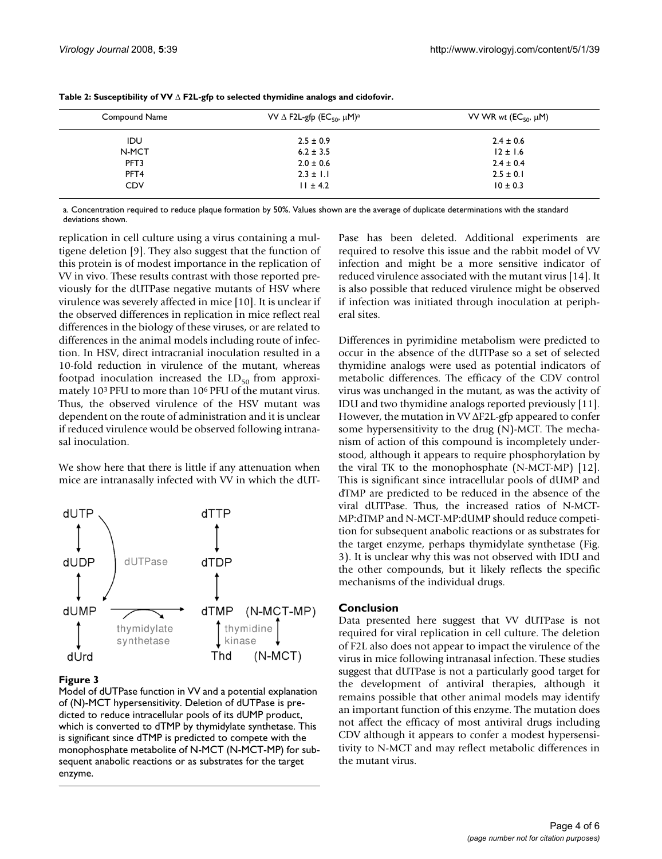| Compound Name | VV $\triangle$ F2L-gfp (EC <sub>50</sub> , $\mu$ M) <sup>a</sup> | VV WR wt ( $EC_{50}$ , $\mu$ M) |
|---------------|------------------------------------------------------------------|---------------------------------|
| IDU           | $2.5 \pm 0.9$                                                    | $2.4 \pm 0.6$                   |
| N-MCT         | $6.2 \pm 3.5$                                                    | $12 \pm 1.6$                    |
| PFT3          | $2.0 \pm 0.6$                                                    | $2.4 \pm 0.4$                   |
| PFT4          | $2.3 \pm 1.1$                                                    | $2.5 \pm 0.1$                   |
| <b>CDV</b>    | $11 \pm 4.2$                                                     | $10 \pm 0.3$                    |

**Table 2: Susceptibility of VV** ' **F2L-gfp to selected thymidine analogs and cidofovir.**

a. Concentration required to reduce plaque formation by 50%. Values shown are the average of duplicate determinations with the standard deviations shown.

replication in cell culture using a virus containing a multigene deletion [9]. They also suggest that the function of this protein is of modest importance in the replication of VV in vivo. These results contrast with those reported previously for the dUTPase negative mutants of HSV where virulence was severely affected in mice [10]. It is unclear if the observed differences in replication in mice reflect real differences in the biology of these viruses, or are related to differences in the animal models including route of infection. In HSV, direct intracranial inoculation resulted in a 10-fold reduction in virulence of the mutant, whereas footpad inoculation increased the  $LD_{50}$  from approximately 103 PFU to more than 106 PFU of the mutant virus. Thus, the observed virulence of the HSV mutant was dependent on the route of administration and it is unclear if reduced virulence would be observed following intranasal inoculation.

We show here that there is little if any attenuation when mice are intranasally infected with VV in which the dUT-



#### Figure 3

Model of dUTPase function in VV and a potential explanation of (N)-MCT hypersensitivity. Deletion of dUTPase is predicted to reduce intracellular pools of its dUMP product, which is converted to dTMP by thymidylate synthetase. This is significant since dTMP is predicted to compete with the monophosphate metabolite of N-MCT (N-MCT-MP) for subsequent anabolic reactions or as substrates for the target enzyme.

Pase has been deleted. Additional experiments are required to resolve this issue and the rabbit model of VV infection and might be a more sensitive indicator of reduced virulence associated with the mutant virus [14]. It is also possible that reduced virulence might be observed if infection was initiated through inoculation at peripheral sites.

Differences in pyrimidine metabolism were predicted to occur in the absence of the dUTPase so a set of selected thymidine analogs were used as potential indicators of metabolic differences. The efficacy of the CDV control virus was unchanged in the mutant, as was the activity of IDU and two thymidine analogs reported previously [11]. However, the mutation in VV AF2L-gfp appeared to confer some hypersensitivity to the drug (N)-MCT. The mechanism of action of this compound is incompletely understood, although it appears to require phosphorylation by the viral TK to the monophosphate (N-MCT-MP) [12]. This is significant since intracellular pools of dUMP and dTMP are predicted to be reduced in the absence of the viral dUTPase. Thus, the increased ratios of N-MCT-MP:dTMP and N-MCT-MP:dUMP should reduce competition for subsequent anabolic reactions or as substrates for the target enzyme, perhaps thymidylate synthetase (Fig. 3). It is unclear why this was not observed with IDU and the other compounds, but it likely reflects the specific mechanisms of the individual drugs.

#### **Conclusion**

Data presented here suggest that VV dUTPase is not required for viral replication in cell culture. The deletion of F2L also does not appear to impact the virulence of the virus in mice following intranasal infection. These studies suggest that dUTPase is not a particularly good target for the development of antiviral therapies, although it remains possible that other animal models may identify an important function of this enzyme. The mutation does not affect the efficacy of most antiviral drugs including CDV although it appears to confer a modest hypersensitivity to N-MCT and may reflect metabolic differences in the mutant virus.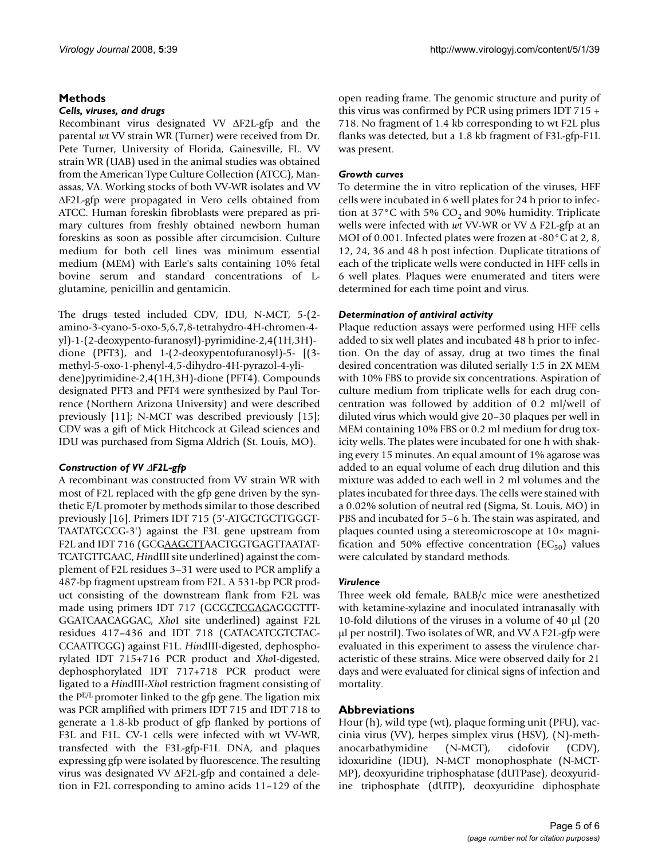# **Methods**

#### *Cells, viruses, and drugs*

Recombinant virus designated VV  $\Delta$ F2L-gfp and the parental *wt* VV strain WR (Turner) were received from Dr. Pete Turner, University of Florida, Gainesville, FL. VV strain WR (UAB) used in the animal studies was obtained from the American Type Culture Collection (ATCC), Manassas, VA. Working stocks of both VV-WR isolates and VV 'F2L-gfp were propagated in Vero cells obtained from ATCC. Human foreskin fibroblasts were prepared as primary cultures from freshly obtained newborn human foreskins as soon as possible after circumcision. Culture medium for both cell lines was minimum essential medium (MEM) with Earle's salts containing 10% fetal bovine serum and standard concentrations of Lglutamine, penicillin and gentamicin.

The drugs tested included CDV, IDU, N-MCT, 5-(2 amino-3-cyano-5-oxo-5,6,7,8-tetrahydro-4H-chromen-4 yl)-1-(2-deoxypento-furanosyl)-pyrimidine-2,4(1H,3H) dione (PFT3), and 1-(2-deoxypentofuranosyl)-5- [(3 methyl-5-oxo-1-phenyl-4,5-dihydro-4H-pyrazol-4-ylidene)pyrimidine-2,4(1H,3H)-dione (PFT4). Compounds designated PFT3 and PFT4 were synthesized by Paul Torrence (Northern Arizona University) and were described previously [11]; N-MCT was described previously [15]; CDV was a gift of Mick Hitchcock at Gilead sciences and IDU was purchased from Sigma Aldrich (St. Louis, MO).

# *Construction of VV* '*F2L-gfp*

A recombinant was constructed from VV strain WR with most of F2L replaced with the gfp gene driven by the synthetic E/L promoter by methods similar to those described previously [16]. Primers IDT 715 (5'-ATGCTGCTTGGGT-TAATATGCCG-3') against the F3L gene upstream from F2L and IDT 716 (GCGAAGCTTAACTGGTGAGTTAATAT-TCATGTTGAAC, *Hin*dIII site underlined) against the complement of F2L residues 3–31 were used to PCR amplify a 487-bp fragment upstream from F2L. A 531-bp PCR product consisting of the downstream flank from F2L was made using primers IDT 717 (GCGCTCGAGAGGGTTT-GGATCAACAGGAC, *Xho*I site underlined) against F2L residues 417–436 and IDT 718 (CATACATCGTCTAC-CCAATTCGG) against F1L. *Hin*dIII-digested, dephosphorylated IDT 715+716 PCR product and *Xho*I-digested, dephosphorylated IDT 717+718 PCR product were ligated to a *Hin*dIII-*Xho*I restriction fragment consisting of the PE/L promoter linked to the gfp gene. The ligation mix was PCR amplified with primers IDT 715 and IDT 718 to generate a 1.8-kb product of gfp flanked by portions of F3L and F1L. CV-1 cells were infected with wt VV-WR, transfected with the F3L-gfp-F1L DNA, and plaques expressing gfp were isolated by fluorescence. The resulting virus was designated VV  $\Delta$ F2L-gfp and contained a deletion in F2L corresponding to amino acids 11–129 of the open reading frame. The genomic structure and purity of this virus was confirmed by PCR using primers IDT 715 + 718. No fragment of 1.4 kb corresponding to wt F2L plus flanks was detected, but a 1.8 kb fragment of F3L-gfp-F1L was present.

#### *Growth curves*

To determine the in vitro replication of the viruses, HFF cells were incubated in 6 well plates for 24 h prior to infection at 37 $\degree$ C with 5% CO<sub>2</sub> and 90% humidity. Triplicate wells were infected with  $wt$  VV-WR or VV  $\Delta$  F2L-gfp at an MOI of 0.001. Infected plates were frozen at -80°C at 2, 8, 12, 24, 36 and 48 h post infection. Duplicate titrations of each of the triplicate wells were conducted in HFF cells in 6 well plates. Plaques were enumerated and titers were determined for each time point and virus.

#### *Determination of antiviral activity*

Plaque reduction assays were performed using HFF cells added to six well plates and incubated 48 h prior to infection. On the day of assay, drug at two times the final desired concentration was diluted serially 1:5 in 2X MEM with 10% FBS to provide six concentrations. Aspiration of culture medium from triplicate wells for each drug concentration was followed by addition of 0.2 ml/well of diluted virus which would give 20–30 plaques per well in MEM containing 10% FBS or 0.2 ml medium for drug toxicity wells. The plates were incubated for one h with shaking every 15 minutes. An equal amount of 1% agarose was added to an equal volume of each drug dilution and this mixture was added to each well in 2 ml volumes and the plates incubated for three days. The cells were stained with a 0.02% solution of neutral red (Sigma, St. Louis, MO) in PBS and incubated for 5–6 h. The stain was aspirated, and plaques counted using a stereomicroscope at 10× magnification and 50% effective concentration ( $EC_{50}$ ) values were calculated by standard methods.

# *Virulence*

Three week old female, BALB/c mice were anesthetized with ketamine-xylazine and inoculated intranasally with 10-fold dilutions of the viruses in a volume of 40  $\mu$ l (20  $\mu$ l per nostril). Two isolates of WR, and VV  $\Delta$  F2L-gfp were evaluated in this experiment to assess the virulence characteristic of these strains. Mice were observed daily for 21 days and were evaluated for clinical signs of infection and mortality.

# **Abbreviations**

Hour (h), wild type (wt), plaque forming unit (PFU), vaccinia virus (VV), herpes simplex virus (HSV), (N)-methanocarbathymidine (N-MCT), cidofovir (CDV), idoxuridine (IDU), N-MCT monophosphate (N-MCT-MP), deoxyuridine triphosphatase (dUTPase), deoxyuridine triphosphate (dUTP), deoxyuridine diphosphate